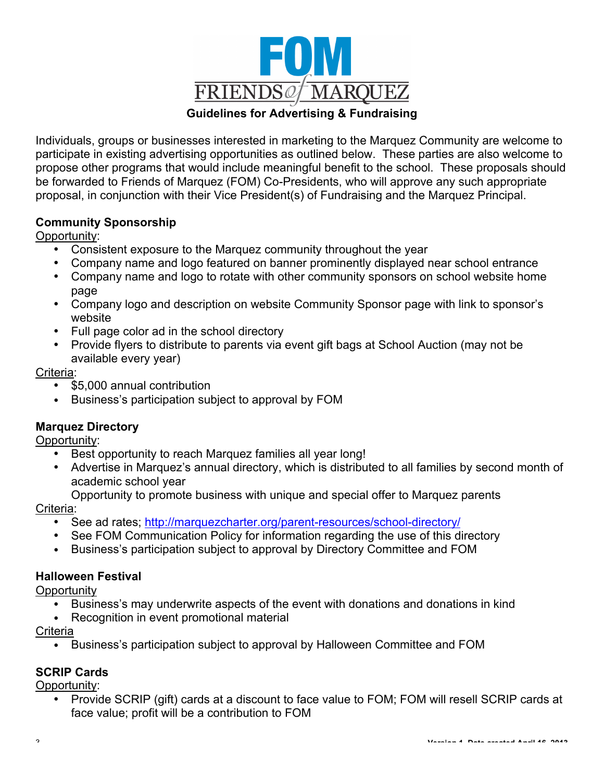

#### **Guidelines for Advertising & Fundraising**

Individuals, groups or businesses interested in marketing to the Marquez Community are welcome to participate in existing advertising opportunities as outlined below. These parties are also welcome to propose other programs that would include meaningful benefit to the school. These proposals should be forwarded to Friends of Marquez (FOM) Co-Presidents, who will approve any such appropriate proposal, in conjunction with their Vice President(s) of Fundraising and the Marquez Principal.

#### **Community Sponsorship**

Opportunity:

- Consistent exposure to the Marquez community throughout the year
- Company name and logo featured on banner prominently displayed near school entrance
- Company name and logo to rotate with other community sponsors on school website home page
- Company logo and description on website Community Sponsor page with link to sponsor's website
- Full page color ad in the school directory
- Provide flyers to distribute to parents via event gift bags at School Auction (may not be available every year)

#### Criteria:

- \$5,000 annual contribution
- Business's participation subject to approval by FOM

## **Marquez Directory**

Opportunity:

- Best opportunity to reach Marquez families all year long!
- Advertise in Marquez's annual directory, which is distributed to all families by second month of academic school year
	- Opportunity to promote business with unique and special offer to Marquez parents

#### Criteria:

- See ad rates; http://marquezcharter.org/parent-resources/school-directory/
- See FOM Communication Policy for information regarding the use of this directory
- Business's participation subject to approval by Directory Committee and FOM

## **Halloween Festival**

**Opportunity** 

- Business's may underwrite aspects of the event with donations and donations in kind
- Recognition in event promotional material

**Criteria** 

• Business's participation subject to approval by Halloween Committee and FOM

## **SCRIP Cards**

Opportunity:

• Provide SCRIP (gift) cards at a discount to face value to FOM; FOM will resell SCRIP cards at face value; profit will be a contribution to FOM